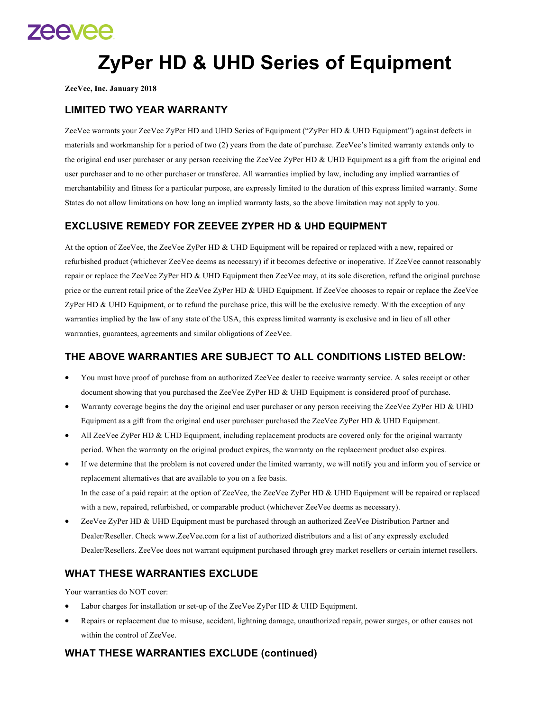

# **ZyPer HD & UHD Series of Equipment**

**ZeeVee, Inc. January 2018**

## **LIMITED TWO YEAR WARRANTY**

ZeeVee warrants your ZeeVee ZyPer HD and UHD Series of Equipment ("ZyPer HD & UHD Equipment") against defects in materials and workmanship for a period of two (2) years from the date of purchase. ZeeVee's limited warranty extends only to the original end user purchaser or any person receiving the ZeeVee ZyPer HD & UHD Equipment as a gift from the original end user purchaser and to no other purchaser or transferee. All warranties implied by law, including any implied warranties of merchantability and fitness for a particular purpose, are expressly limited to the duration of this express limited warranty. Some States do not allow limitations on how long an implied warranty lasts, so the above limitation may not apply to you.

## **EXCLUSIVE REMEDY FOR ZEEVEE ZYPER HD & UHD EQUIPMENT**

At the option of ZeeVee, the ZeeVee ZyPer HD & UHD Equipment will be repaired or replaced with a new, repaired or refurbished product (whichever ZeeVee deems as necessary) if it becomes defective or inoperative. If ZeeVee cannot reasonably repair or replace the ZeeVee ZyPer HD & UHD Equipment then ZeeVee may, at its sole discretion, refund the original purchase price or the current retail price of the ZeeVee ZyPer HD & UHD Equipment. If ZeeVee chooses to repair or replace the ZeeVee ZyPer HD & UHD Equipment, or to refund the purchase price, this will be the exclusive remedy. With the exception of any warranties implied by the law of any state of the USA, this express limited warranty is exclusive and in lieu of all other warranties, guarantees, agreements and similar obligations of ZeeVee.

#### **THE ABOVE WARRANTIES ARE SUBJECT TO ALL CONDITIONS LISTED BELOW:**

- You must have proof of purchase from an authorized ZeeVee dealer to receive warranty service. A sales receipt or other document showing that you purchased the ZeeVee ZyPer HD & UHD Equipment is considered proof of purchase.
- Warranty coverage begins the day the original end user purchaser or any person receiving the ZeeVee ZyPer HD & UHD Equipment as a gift from the original end user purchaser purchased the ZeeVee ZyPer HD & UHD Equipment.
- All ZeeVee ZyPer HD & UHD Equipment, including replacement products are covered only for the original warranty period. When the warranty on the original product expires, the warranty on the replacement product also expires.
- If we determine that the problem is not covered under the limited warranty, we will notify you and inform you of service or replacement alternatives that are available to you on a fee basis. In the case of a paid repair: at the option of ZeeVee, the ZeeVee ZyPer HD & UHD Equipment will be repaired or replaced with a new, repaired, refurbished, or comparable product (whichever ZeeVee deems as necessary).
- ZeeVee ZyPer HD & UHD Equipment must be purchased through an authorized ZeeVee Distribution Partner and Dealer/Reseller. Check www.ZeeVee.com for a list of authorized distributors and a list of any expressly excluded Dealer/Resellers. ZeeVee does not warrant equipment purchased through grey market resellers or certain internet resellers.

## **WHAT THESE WARRANTIES EXCLUDE**

Your warranties do NOT cover:

- Labor charges for installation or set-up of the ZeeVee ZyPer HD  $&$  UHD Equipment.
- Repairs or replacement due to misuse, accident, lightning damage, unauthorized repair, power surges, or other causes not within the control of ZeeVee.

## **WHAT THESE WARRANTIES EXCLUDE (continued)**